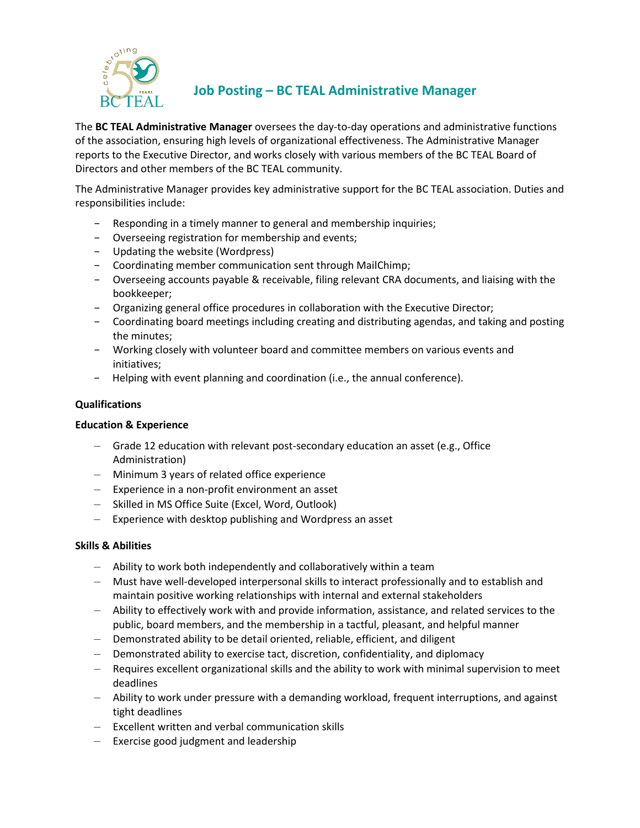

# **Job Posting – BC TEAL Administrative Manager**

The **BC TEAL Administrative Manager** oversees the day-to-day operations and administrative functions of the association, ensuring high levels of organizational effectiveness. The Administrative Manager reports to the Executive Director, and works closely with various members of the BC TEAL Board of Directors and other members of the BC TEAL community.

The Administrative Manager provides key administrative support for the BC TEAL association. Duties and responsibilities include:

- Responding in a timely manner to general and membership inquiries;
- − Overseeing registration for membership and events;
- − Updating the website (Wordpress)
- − Coordinating member communication sent through MailChimp;
- − Overseeing accounts payable & receivable, filing relevant CRA documents, and liaising with the bookkeeper;
- − Organizing general office procedures in collaboration with the Executive Director;
- − Coordinating board meetings including creating and distributing agendas, and taking and posting the minutes;
- − Working closely with volunteer board and committee members on various events and initiatives;
- − Helping with event planning and coordination (i.e., the annual conference).

## **Qualifications**

## **Education & Experience**

- Grade 12 education with relevant post-secondary education an asset (e.g., Office Administration)
- Minimum 3 years of related office experience
- Experience in a non-profit environment an asset
- Skilled in MS Office Suite (Excel, Word, Outlook)
- Experience with desktop publishing and Wordpress an asset

## **Skills & Abilities**

- Ability to work both independently and collaboratively within a team
- Must have well-developed interpersonal skills to interact professionally and to establish and maintain positive working relationships with internal and external stakeholders
- Ability to effectively work with and provide information, assistance, and related services to the public, board members, and the membership in a tactful, pleasant, and helpful manner
- Demonstrated ability to be detail oriented, reliable, efficient, and diligent
- Demonstrated ability to exercise tact, discretion, confidentiality, and diplomacy
- Requires excellent organizational skills and the ability to work with minimal supervision to meet deadlines
- Ability to work under pressure with a demanding workload, frequent interruptions, and against tight deadlines
- Excellent written and verbal communication skills
- Exercise good judgment and leadership